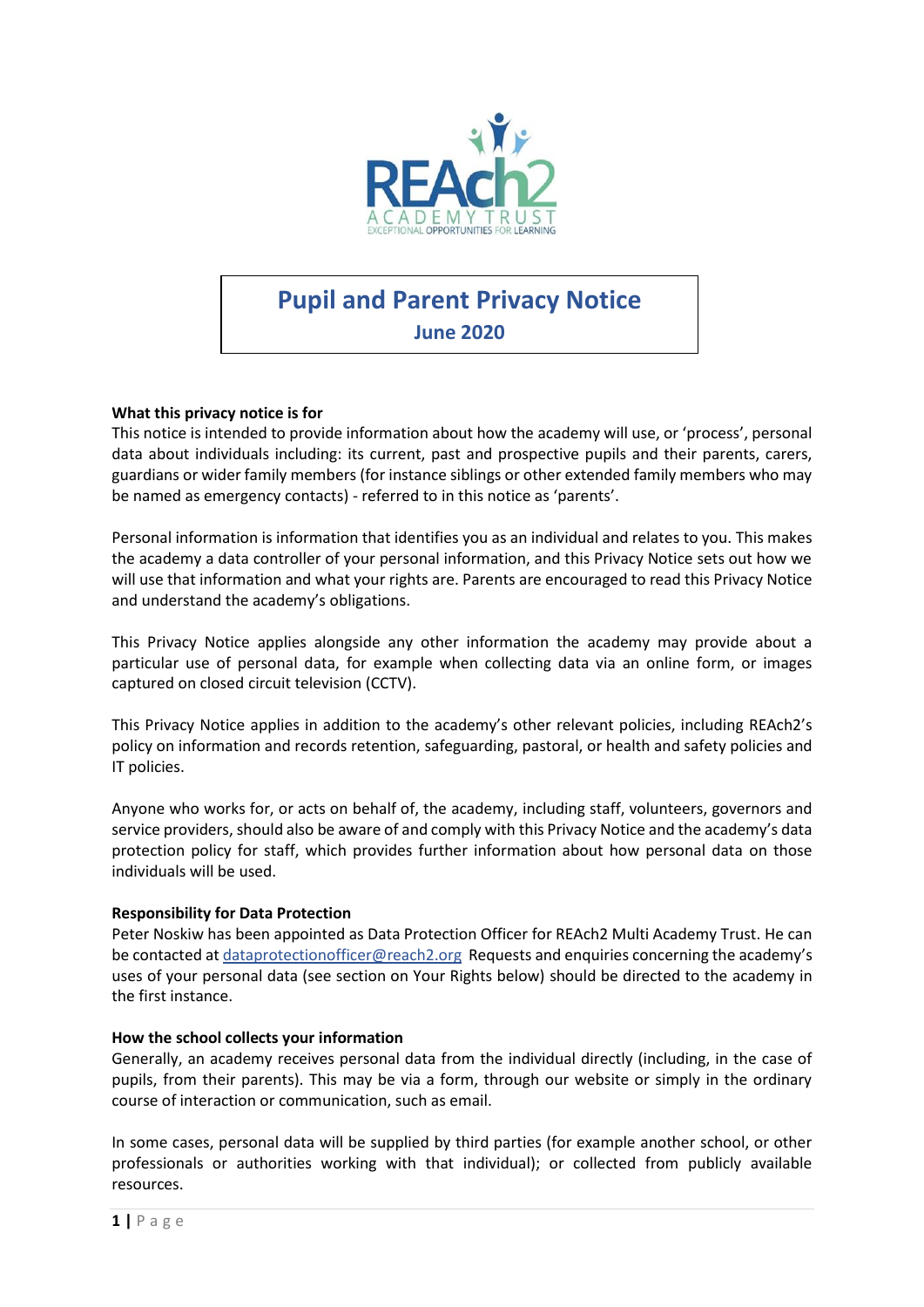

# **Pupil and Parent Privacy Notice**

**June 2020**

### **What this privacy notice is for**

This notice is intended to provide information about how the academy will use, or 'process', personal data about individuals including: its current, past and prospective pupils and their parents, carers, guardians or wider family members (for instance siblings or other extended family members who may be named as emergency contacts) - referred to in this notice as 'parents'.

Personal information is information that identifies you as an individual and relates to you. This makes the academy a data controller of your personal information, and this Privacy Notice sets out how we will use that information and what your rights are. Parents are encouraged to read this Privacy Notice and understand the academy's obligations.

This Privacy Notice applies alongside any other information the academy may provide about a particular use of personal data, for example when collecting data via an online form, or images captured on closed circuit television (CCTV).

This Privacy Notice applies in addition to the academy's other relevant policies, including REAch2's policy on information and records retention, safeguarding, pastoral, or health and safety policies and IT policies.

Anyone who works for, or acts on behalf of, the academy, including staff, volunteers, governors and service providers, should also be aware of and comply with this Privacy Notice and the academy's data protection policy for staff, which provides further information about how personal data on those individuals will be used.

#### **Responsibility for Data Protection**

Peter Noskiw has been appointed as Data Protection Officer for REAch2 Multi Academy Trust. He can be contacted a[t dataprotectionofficer@reach2.org](mailto:dataprotectionofficer@reach2.org) Requests and enquiries concerning the academy's uses of your personal data (see section on Your Rights below) should be directed to the academy in the first instance.

#### **How the school collects your information**

Generally, an academy receives personal data from the individual directly (including, in the case of pupils, from their parents). This may be via a form, through our website or simply in the ordinary course of interaction or communication, such as email.

In some cases, personal data will be supplied by third parties (for example another school, or other professionals or authorities working with that individual); or collected from publicly available resources.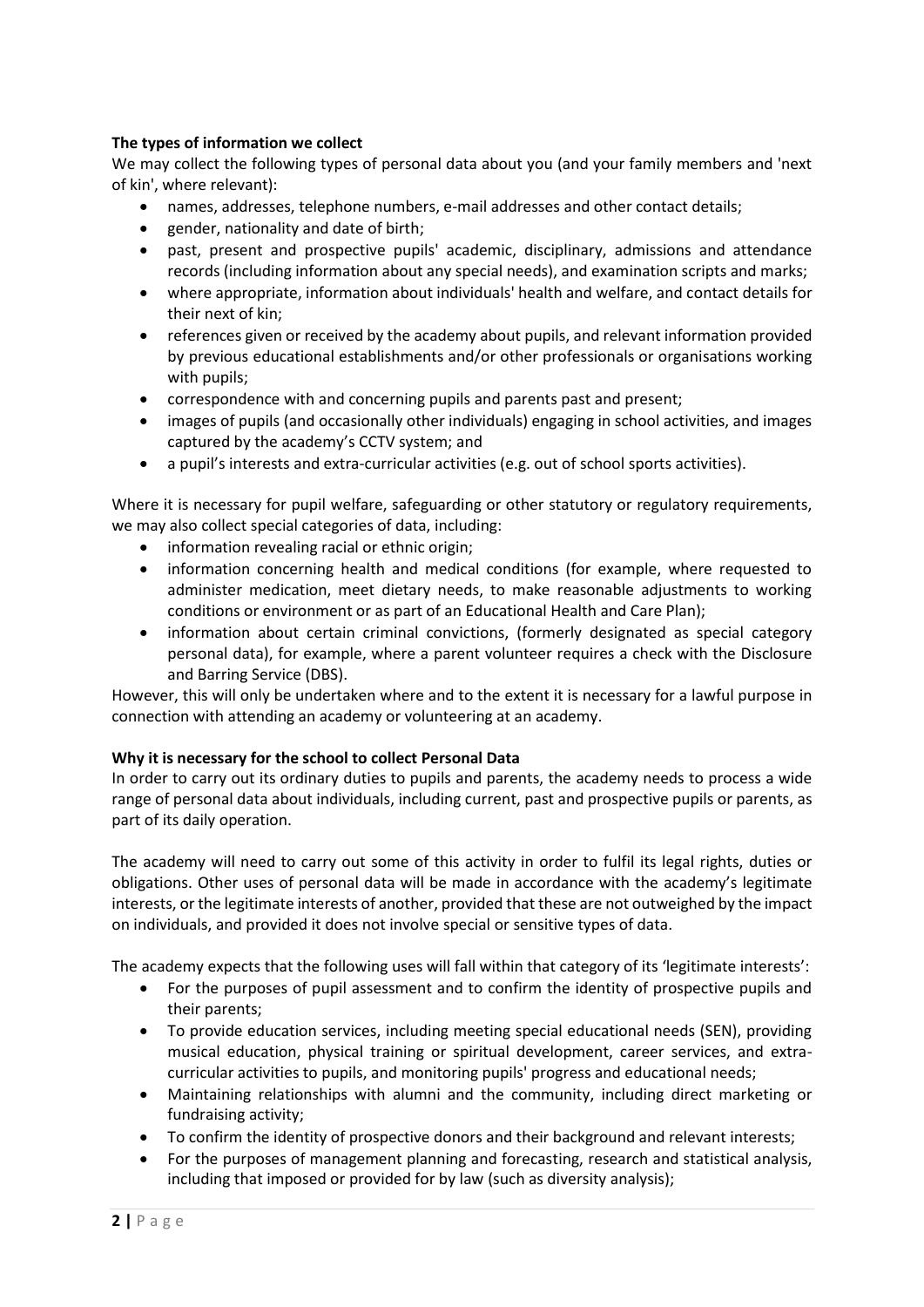# **The types of information we collect**

We may collect the following types of personal data about you (and your family members and 'next of kin', where relevant):

- names, addresses, telephone numbers, e-mail addresses and other contact details;
- gender, nationality and date of birth;
- past, present and prospective pupils' academic, disciplinary, admissions and attendance records (including information about any special needs), and examination scripts and marks;
- where appropriate, information about individuals' health and welfare, and contact details for their next of kin;
- references given or received by the academy about pupils, and relevant information provided by previous educational establishments and/or other professionals or organisations working with pupils;
- correspondence with and concerning pupils and parents past and present;
- images of pupils (and occasionally other individuals) engaging in school activities, and images captured by the academy's CCTV system; and
- a pupil's interests and extra-curricular activities (e.g. out of school sports activities).

Where it is necessary for pupil welfare, safeguarding or other statutory or regulatory requirements, we may also collect special categories of data, including:

- information revealing racial or ethnic origin;
- information concerning health and medical conditions (for example, where requested to administer medication, meet dietary needs, to make reasonable adjustments to working conditions or environment or as part of an Educational Health and Care Plan);
- information about certain criminal convictions, (formerly designated as special category personal data), for example, where a parent volunteer requires a check with the Disclosure and Barring Service (DBS).

However, this will only be undertaken where and to the extent it is necessary for a lawful purpose in connection with attending an academy or volunteering at an academy.

# **Why it is necessary for the school to collect Personal Data**

In order to carry out its ordinary duties to pupils and parents, the academy needs to process a wide range of personal data about individuals, including current, past and prospective pupils or parents, as part of its daily operation.

The academy will need to carry out some of this activity in order to fulfil its legal rights, duties or obligations. Other uses of personal data will be made in accordance with the academy's legitimate interests, or the legitimate interests of another, provided that these are not outweighed by the impact on individuals, and provided it does not involve special or sensitive types of data.

The academy expects that the following uses will fall within that category of its 'legitimate interests':

- For the purposes of pupil assessment and to confirm the identity of prospective pupils and their parents;
- To provide education services, including meeting special educational needs (SEN), providing musical education, physical training or spiritual development, career services, and extracurricular activities to pupils, and monitoring pupils' progress and educational needs;
- Maintaining relationships with alumni and the community, including direct marketing or fundraising activity;
- To confirm the identity of prospective donors and their background and relevant interests;
- For the purposes of management planning and forecasting, research and statistical analysis, including that imposed or provided for by law (such as diversity analysis);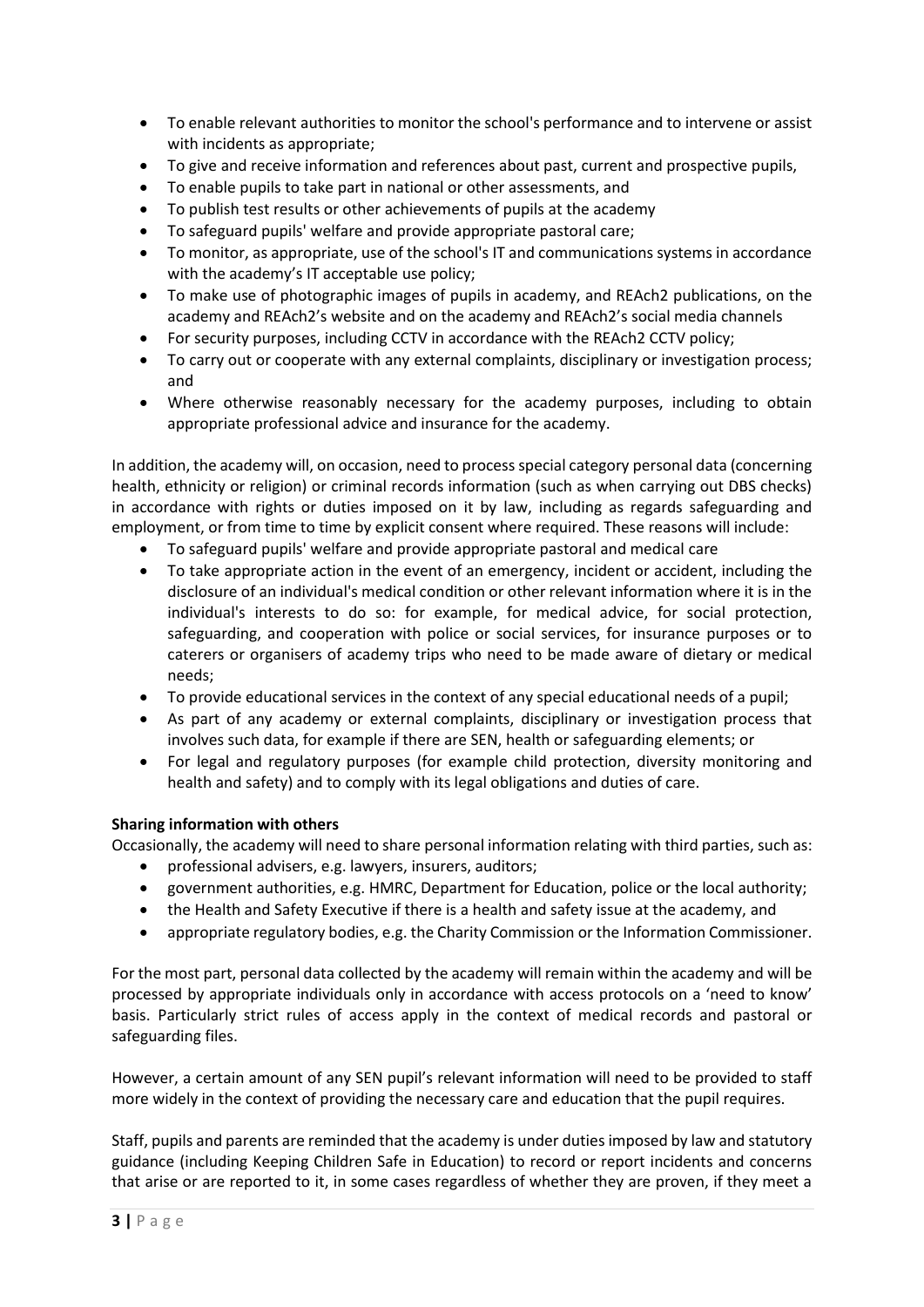- To enable relevant authorities to monitor the school's performance and to intervene or assist with incidents as appropriate;
- To give and receive information and references about past, current and prospective pupils,
- To enable pupils to take part in national or other assessments, and
- To publish test results or other achievements of pupils at the academy
- To safeguard pupils' welfare and provide appropriate pastoral care;
- To monitor, as appropriate, use of the school's IT and communications systems in accordance with the academy's IT acceptable use policy;
- To make use of photographic images of pupils in academy, and REAch2 publications, on the academy and REAch2's website and on the academy and REAch2's social media channels
- For security purposes, including CCTV in accordance with the REAch2 CCTV policy;
- To carry out or cooperate with any external complaints, disciplinary or investigation process; and
- Where otherwise reasonably necessary for the academy purposes, including to obtain appropriate professional advice and insurance for the academy.

In addition, the academy will, on occasion, need to process special category personal data (concerning health, ethnicity or religion) or criminal records information (such as when carrying out DBS checks) in accordance with rights or duties imposed on it by law, including as regards safeguarding and employment, or from time to time by explicit consent where required. These reasons will include:

- To safeguard pupils' welfare and provide appropriate pastoral and medical care
- To take appropriate action in the event of an emergency, incident or accident, including the disclosure of an individual's medical condition or other relevant information where it is in the individual's interests to do so: for example, for medical advice, for social protection, safeguarding, and cooperation with police or social services, for insurance purposes or to caterers or organisers of academy trips who need to be made aware of dietary or medical needs;
- To provide educational services in the context of any special educational needs of a pupil;
- As part of any academy or external complaints, disciplinary or investigation process that involves such data, for example if there are SEN, health or safeguarding elements; or
- For legal and regulatory purposes (for example child protection, diversity monitoring and health and safety) and to comply with its legal obligations and duties of care.

# **Sharing information with others**

Occasionally, the academy will need to share personal information relating with third parties, such as:

- professional advisers, e.g. lawyers, insurers, auditors;
- government authorities, e.g. HMRC, Department for Education, police or the local authority;
- the Health and Safety Executive if there is a health and safety issue at the academy, and
- appropriate regulatory bodies, e.g. the Charity Commission or the Information Commissioner.

For the most part, personal data collected by the academy will remain within the academy and will be processed by appropriate individuals only in accordance with access protocols on a 'need to know' basis. Particularly strict rules of access apply in the context of medical records and pastoral or safeguarding files.

However, a certain amount of any SEN pupil's relevant information will need to be provided to staff more widely in the context of providing the necessary care and education that the pupil requires.

Staff, pupils and parents are reminded that the academy is under duties imposed by law and statutory guidance (including Keeping Children Safe in Education) to record or report incidents and concerns that arise or are reported to it, in some cases regardless of whether they are proven, if they meet a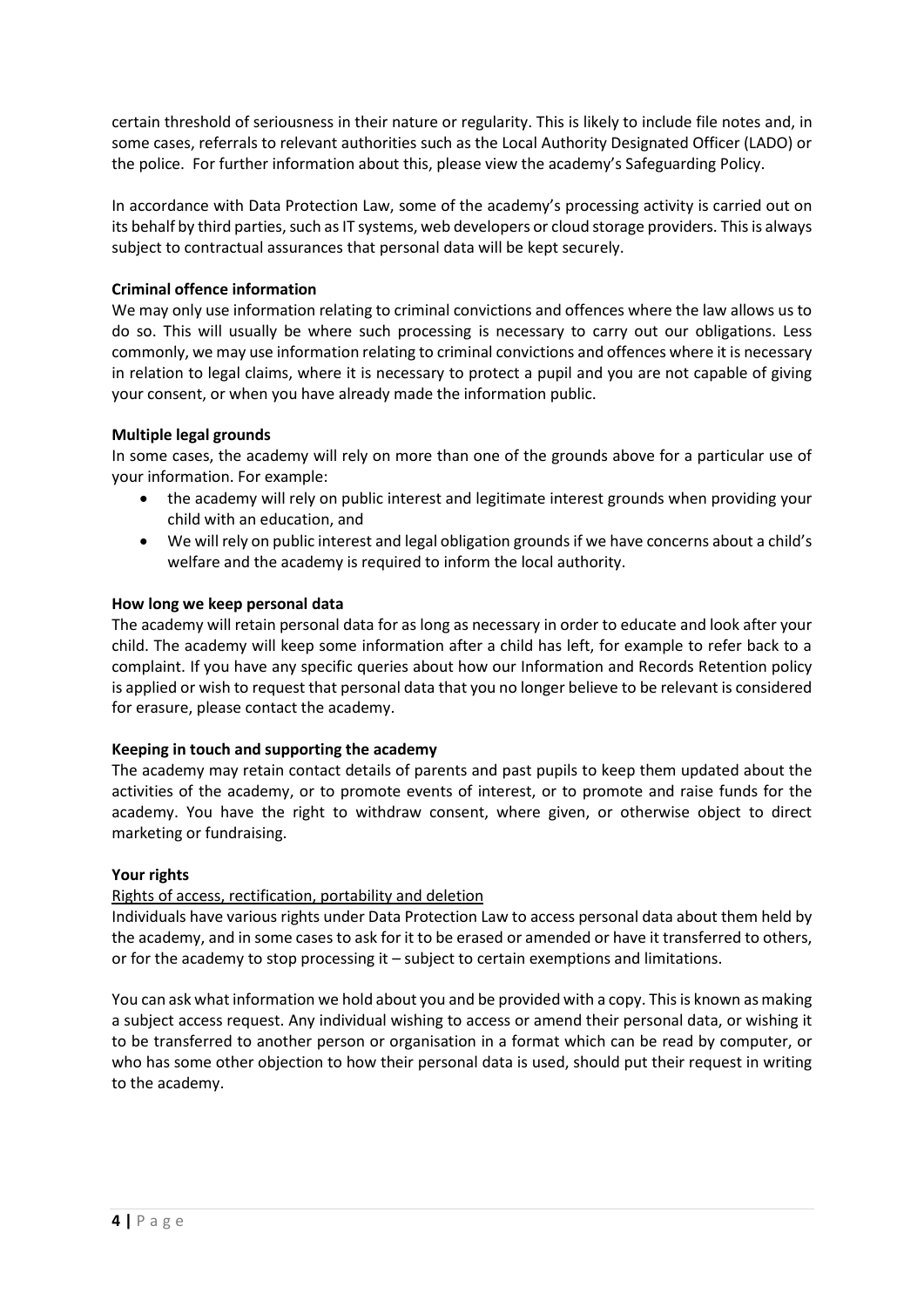certain threshold of seriousness in their nature or regularity. This is likely to include file notes and, in some cases, referrals to relevant authorities such as the Local Authority Designated Officer (LADO) or the police. For further information about this, please view the academy's Safeguarding Policy.

In accordance with Data Protection Law, some of the academy's processing activity is carried out on its behalf by third parties, such as IT systems, web developers or cloud storage providers. This is always subject to contractual assurances that personal data will be kept securely.

# **Criminal offence information**

We may only use information relating to criminal convictions and offences where the law allows us to do so. This will usually be where such processing is necessary to carry out our obligations. Less commonly, we may use information relating to criminal convictions and offences where it is necessary in relation to legal claims, where it is necessary to protect a pupil and you are not capable of giving your consent, or when you have already made the information public.

# **Multiple legal grounds**

In some cases, the academy will rely on more than one of the grounds above for a particular use of your information. For example:

- the academy will rely on public interest and legitimate interest grounds when providing your child with an education, and
- We will rely on public interest and legal obligation grounds if we have concerns about a child's welfare and the academy is required to inform the local authority.

# **How long we keep personal data**

The academy will retain personal data for as long as necessary in order to educate and look after your child. The academy will keep some information after a child has left, for example to refer back to a complaint. If you have any specific queries about how our Information and Records Retention policy is applied or wish to request that personal data that you no longer believe to be relevant is considered for erasure, please contact the academy.

# **Keeping in touch and supporting the academy**

The academy may retain contact details of parents and past pupils to keep them updated about the activities of the academy, or to promote events of interest, or to promote and raise funds for the academy. You have the right to withdraw consent, where given, or otherwise object to direct marketing or fundraising.

#### **Your rights**

# Rights of access, rectification, portability and deletion

Individuals have various rights under Data Protection Law to access personal data about them held by the academy, and in some cases to ask for it to be erased or amended or have it transferred to others, or for the academy to stop processing it – subject to certain exemptions and limitations.

You can ask what information we hold about you and be provided with a copy. This is known as making a subject access request. Any individual wishing to access or amend their personal data, or wishing it to be transferred to another person or organisation in a format which can be read by computer, or who has some other objection to how their personal data is used, should put their request in writing to the academy.